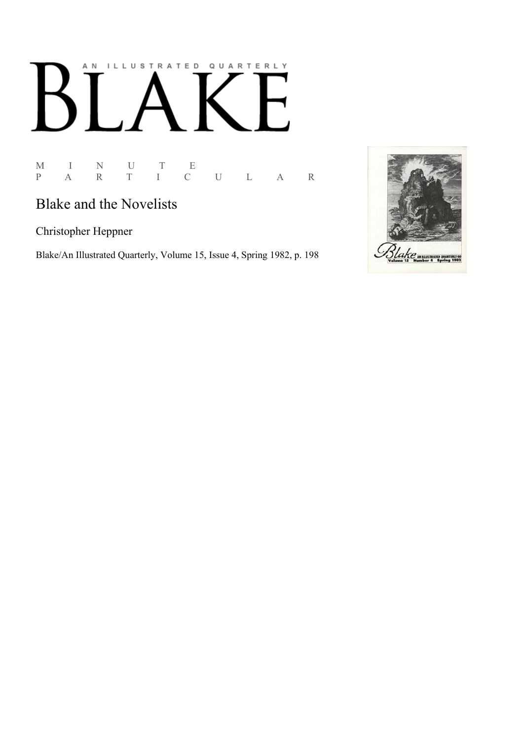# AN ILLUSTRATED QUARTERLY K

M I N U T E P A R T I C U L A R

# Blake and the Novelists

Christopher Heppner

Blake/An Illustrated Quarterly, Volume 15, Issue 4, Spring 1982, p. 198